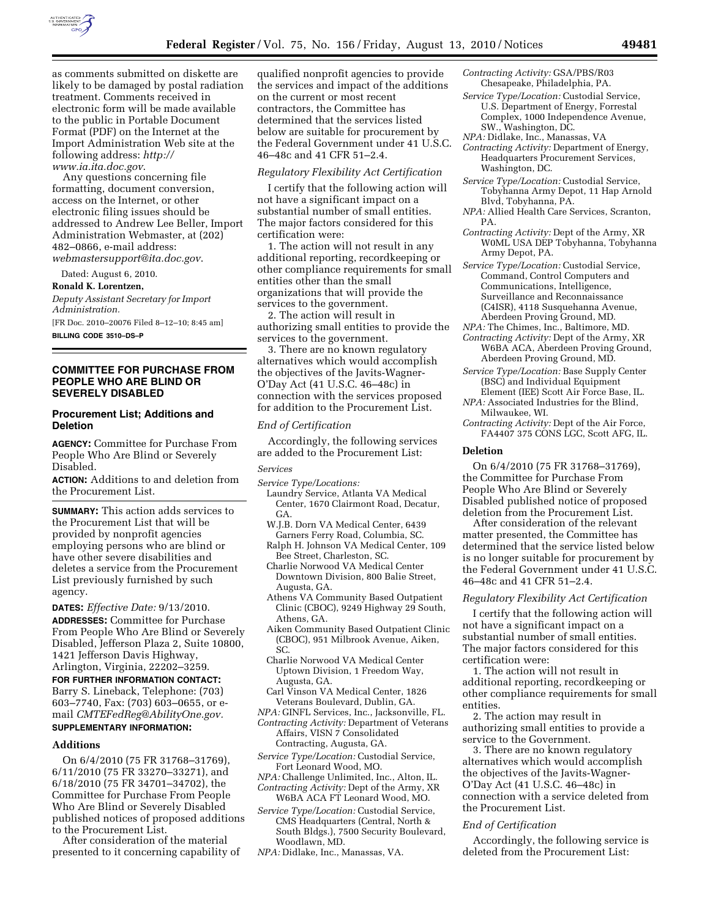

as comments submitted on diskette are likely to be damaged by postal radiation treatment. Comments received in electronic form will be made available to the public in Portable Document Format (PDF) on the Internet at the Import Administration Web site at the following address: *[http://](http://www.ia.ita.doc.gov)  [www.ia.ita.doc.gov](http://www.ia.ita.doc.gov)*.

Any questions concerning file formatting, document conversion, access on the Internet, or other electronic filing issues should be addressed to Andrew Lee Beller, Import Administration Webmaster, at (202) 482–0866, e-mail address: *[webmastersupport@ita.doc.gov](mailto:webmastersupport@ita.doc.gov)*.

Dated: August 6, 2010.

**Ronald K. Lorentzen,** 

*Deputy Assistant Secretary for Import Administration.* 

[FR Doc. 2010–20076 Filed 8–12–10; 8:45 am]

**BILLING CODE 3510–DS–P** 

## **COMMITTEE FOR PURCHASE FROM PEOPLE WHO ARE BLIND OR SEVERELY DISABLED**

## **Procurement List; Additions and Deletion**

**AGENCY:** Committee for Purchase From People Who Are Blind or Severely Disabled.

**ACTION:** Additions to and deletion from the Procurement List.

**SUMMARY:** This action adds services to the Procurement List that will be provided by nonprofit agencies employing persons who are blind or have other severe disabilities and deletes a service from the Procurement List previously furnished by such agency.

**DATES:** *Effective Date:* 9/13/2010. **ADDRESSES:** Committee for Purchase From People Who Are Blind or Severely Disabled, Jefferson Plaza 2, Suite 10800, 1421 Jefferson Davis Highway, Arlington, Virginia, 22202–3259.

**FOR FURTHER INFORMATION CONTACT:**  Barry S. Lineback, Telephone: (703) 603–7740, Fax: (703) 603–0655, or email *[CMTEFedReg@AbilityOne.gov.](mailto:CMTEFedReg@AbilityOne.gov)*  **SUPPLEMENTARY INFORMATION:** 

#### **Additions**

On 6/4/2010 (75 FR 31768–31769), 6/11/2010 (75 FR 33270–33271), and 6/18/2010 (75 FR 34701–34702), the Committee for Purchase From People Who Are Blind or Severely Disabled published notices of proposed additions to the Procurement List.

After consideration of the material presented to it concerning capability of qualified nonprofit agencies to provide the services and impact of the additions on the current or most recent contractors, the Committee has determined that the services listed below are suitable for procurement by the Federal Government under 41 U.S.C. 46–48c and 41 CFR 51–2.4.

## *Regulatory Flexibility Act Certification*

I certify that the following action will not have a significant impact on a substantial number of small entities. The major factors considered for this certification were:

1. The action will not result in any additional reporting, recordkeeping or other compliance requirements for small entities other than the small organizations that will provide the services to the government.

2. The action will result in authorizing small entities to provide the services to the government.

3. There are no known regulatory alternatives which would accomplish the objectives of the Javits-Wagner-O'Day Act (41 U.S.C. 46–48c) in connection with the services proposed for addition to the Procurement List.

## *End of Certification*

Accordingly, the following services are added to the Procurement List:

#### *Services*

- *Service Type/Locations:*
- Laundry Service, Atlanta VA Medical Center, 1670 Clairmont Road, Decatur, GA.
- W.J.B. Dorn VA Medical Center, 6439 Garners Ferry Road, Columbia, SC.
- Ralph H. Johnson VA Medical Center, 109 Bee Street, Charleston, SC.
- Charlie Norwood VA Medical Center Downtown Division, 800 Balie Street, Augusta, GA.
- Athens VA Community Based Outpatient Clinic (CBOC), 9249 Highway 29 South, Athens, GA.
- Aiken Community Based Outpatient Clinic (CBOC), 951 Milbrook Avenue, Aiken, SC.
- Charlie Norwood VA Medical Center Uptown Division, 1 Freedom Way, Augusta, GA.
- Carl Vinson VA Medical Center, 1826 Veterans Boulevard, Dublin, GA.
- *NPA:* GINFL Services, Inc., Jacksonville, FL. *Contracting Activity:* Department of Veterans
- Affairs, VISN 7 Consolidated Contracting, Augusta, GA.
- *Service Type/Location:* Custodial Service, Fort Leonard Wood, MO.
- *NPA:* Challenge Unlimited, Inc., Alton, IL. *Contracting Activity:* Dept of the Army, XR W6BA ACA FT Leonard Wood, MO.
- *Service Type/Location:* Custodial Service, CMS Headquarters (Central, North & South Bldgs.), 7500 Security Boulevard, Woodlawn, MD.
- *NPA:* Didlake, Inc., Manassas, VA.
- *Contracting Activity:* GSA/PBS/R03 Chesapeake, Philadelphia, PA.
- *Service Type/Location:* Custodial Service, U.S. Department of Energy, Forrestal Complex, 1000 Independence Avenue, SW., Washington, DC.
- *NPA:* Didlake, Inc., Manassas, VA
- *Contracting Activity:* Department of Energy, Headquarters Procurement Services, Washington, DC.
- *Service Type/Location:* Custodial Service, Tobyhanna Army Depot, 11 Hap Arnold Blvd, Tobyhanna, PA.
- *NPA:* Allied Health Care Services, Scranton, PA.
- *Contracting Activity:* Dept of the Army, XR W0ML USA DEP Tobyhanna, Tobyhanna Army Depot, PA.
- *Service Type/Location:* Custodial Service, Command, Control Computers and Communications, Intelligence, Surveillance and Reconnaissance (C4ISR), 4118 Susquehanna Avenue, Aberdeen Proving Ground, MD.
- *NPA:* The Chimes, Inc., Baltimore, MD.
- *Contracting Activity:* Dept of the Army, XR W6BA ACA, Aberdeen Proving Ground, Aberdeen Proving Ground, MD.
- *Service Type/Location:* Base Supply Center (BSC) and Individual Equipment Element (IEE) Scott Air Force Base, IL.
- *NPA:* Associated Industries for the Blind, Milwaukee, WI.
- *Contracting Activity:* Dept of the Air Force, FA4407 375 CONS LGC, Scott AFG, IL.

## **Deletion**

On 6/4/2010 (75 FR 31768–31769), the Committee for Purchase From People Who Are Blind or Severely Disabled published notice of proposed deletion from the Procurement List.

After consideration of the relevant matter presented, the Committee has determined that the service listed below is no longer suitable for procurement by the Federal Government under 41 U.S.C. 46–48c and 41 CFR 51–2.4.

## *Regulatory Flexibility Act Certification*

I certify that the following action will not have a significant impact on a substantial number of small entities. The major factors considered for this certification were:

1. The action will not result in additional reporting, recordkeeping or other compliance requirements for small entities.

2. The action may result in authorizing small entities to provide a service to the Government.

3. There are no known regulatory alternatives which would accomplish the objectives of the Javits-Wagner-O'Day Act (41 U.S.C. 46–48c) in connection with a service deleted from the Procurement List.

### *End of Certification*

Accordingly, the following service is deleted from the Procurement List: